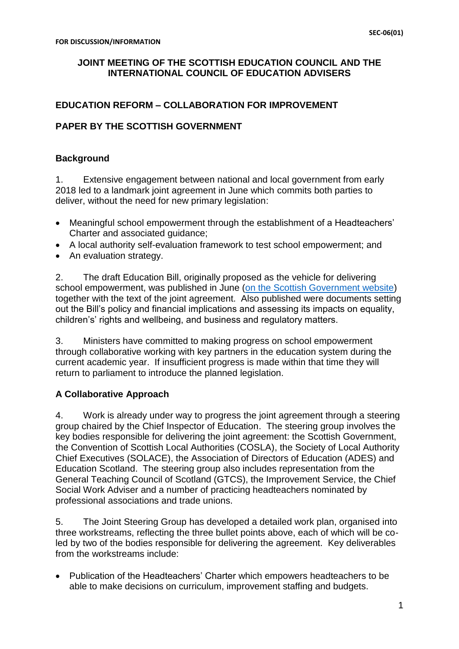#### **JOINT MEETING OF THE SCOTTISH EDUCATION COUNCIL AND THE INTERNATIONAL COUNCIL OF EDUCATION ADVISERS**

## **EDUCATION REFORM – COLLABORATION FOR IMPROVEMENT**

## **PAPER BY THE SCOTTISH GOVERNMENT**

## **Background**

1. Extensive engagement between national and local government from early 2018 led to a landmark joint agreement in June which commits both parties to deliver, without the need for new primary legislation:

- Meaningful school empowerment through the establishment of a Headteachers' Charter and associated guidance;
- A local authority self-evaluation framework to test school empowerment; and
- An evaluation strategy.

2. The draft Education Bill, originally proposed as the vehicle for delivering school empowerment, was published in June [\(on the Scottish Government website\)](https://www.gov.scot/Publications/2018/06/5849/downloads) together with the text of the joint agreement. Also published were documents setting out the Bill's policy and financial implications and assessing its impacts on equality, children's' rights and wellbeing, and business and regulatory matters.

3. Ministers have committed to making progress on school empowerment through collaborative working with key partners in the education system during the current academic year. If insufficient progress is made within that time they will return to parliament to introduce the planned legislation.

# **A Collaborative Approach**

4. Work is already under way to progress the joint agreement through a steering group chaired by the Chief Inspector of Education. The steering group involves the key bodies responsible for delivering the joint agreement: the Scottish Government, the Convention of Scottish Local Authorities (COSLA), the Society of Local Authority Chief Executives (SOLACE), the Association of Directors of Education (ADES) and Education Scotland. The steering group also includes representation from the General Teaching Council of Scotland (GTCS), the Improvement Service, the Chief Social Work Adviser and a number of practicing headteachers nominated by professional associations and trade unions.

5. The Joint Steering Group has developed a detailed work plan, organised into three workstreams, reflecting the three bullet points above, each of which will be coled by two of the bodies responsible for delivering the agreement. Key deliverables from the workstreams include:

• Publication of the Headteachers' Charter which empowers headteachers to be able to make decisions on curriculum, improvement staffing and budgets.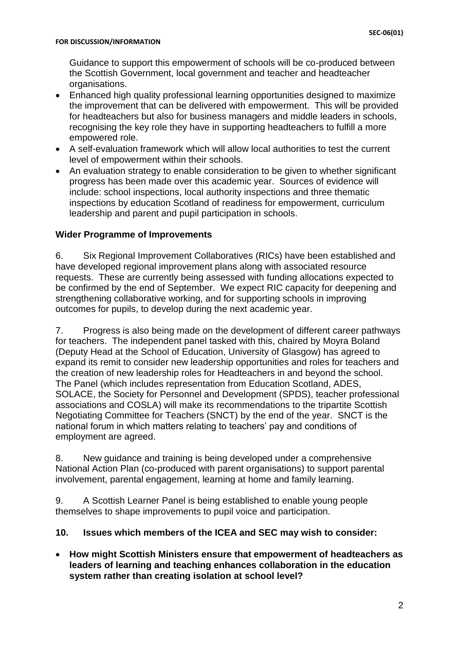Guidance to support this empowerment of schools will be co-produced between the Scottish Government, local government and teacher and headteacher organisations.

- Enhanced high quality professional learning opportunities designed to maximize the improvement that can be delivered with empowerment. This will be provided for headteachers but also for business managers and middle leaders in schools, recognising the key role they have in supporting headteachers to fulfill a more empowered role.
- A self-evaluation framework which will allow local authorities to test the current level of empowerment within their schools.
- An evaluation strategy to enable consideration to be given to whether significant progress has been made over this academic year. Sources of evidence will include: school inspections, local authority inspections and three thematic inspections by education Scotland of readiness for empowerment, curriculum leadership and parent and pupil participation in schools.

## **Wider Programme of Improvements**

6. Six Regional Improvement Collaboratives (RICs) have been established and have developed regional improvement plans along with associated resource requests. These are currently being assessed with funding allocations expected to be confirmed by the end of September. We expect RIC capacity for deepening and strengthening collaborative working, and for supporting schools in improving outcomes for pupils, to develop during the next academic year.

7. Progress is also being made on the development of different career pathways for teachers. The independent panel tasked with this, chaired by Moyra Boland (Deputy Head at the School of Education, University of Glasgow) has agreed to expand its remit to consider new leadership opportunities and roles for teachers and the creation of new leadership roles for Headteachers in and beyond the school. The Panel (which includes representation from Education Scotland, ADES, SOLACE, the Society for Personnel and Development (SPDS), teacher professional associations and COSLA) will make its recommendations to the tripartite Scottish Negotiating Committee for Teachers (SNCT) by the end of the year. SNCT is the national forum in which matters relating to teachers' pay and conditions of employment are agreed.

8. New guidance and training is being developed under a comprehensive National Action Plan (co-produced with parent organisations) to support parental involvement, parental engagement, learning at home and family learning.

9. A Scottish Learner Panel is being established to enable young people themselves to shape improvements to pupil voice and participation.

#### **10. Issues which members of the ICEA and SEC may wish to consider:**

 **How might Scottish Ministers ensure that empowerment of headteachers as leaders of learning and teaching enhances collaboration in the education system rather than creating isolation at school level?**